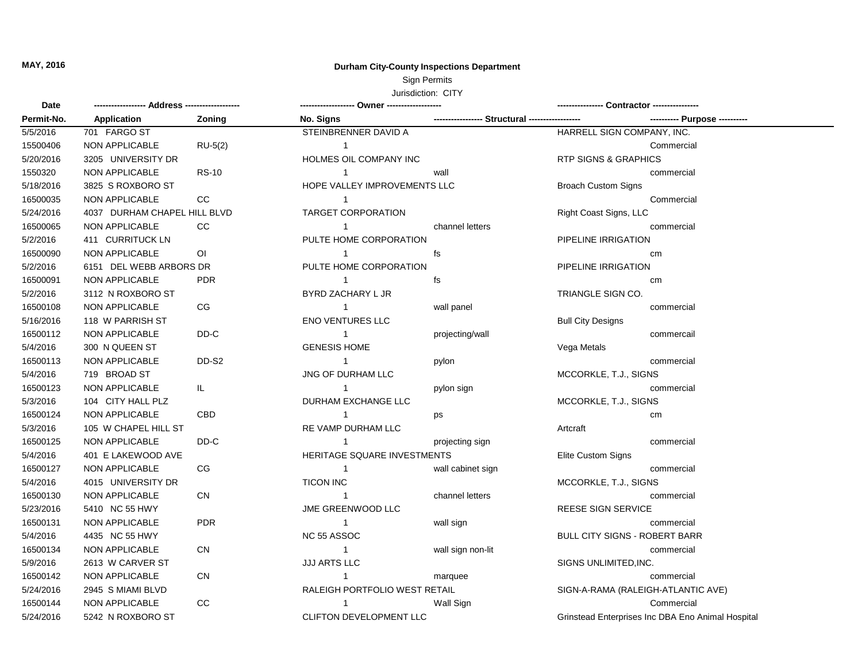## **MAY, 2016 Durham City-County Inspections Department**

## Sign Permits

## Jurisdiction: CITY

| Date       |                              |                |                               |                                     |                                                   |  |
|------------|------------------------------|----------------|-------------------------------|-------------------------------------|---------------------------------------------------|--|
| Permit-No. | Application                  | Zoning         | No. Signs                     | ----------------- Structural ------ | ---------- Purpose ----------                     |  |
| 5/5/2016   | 701 FARGO ST                 |                | STEINBRENNER DAVID A          |                                     | HARRELL SIGN COMPANY, INC.                        |  |
| 15500406   | NON APPLICABLE               | $RU-5(2)$      | $\overline{1}$                |                                     | Commercial                                        |  |
| 5/20/2016  | 3205 UNIVERSITY DR           |                | HOLMES OIL COMPANY INC        |                                     | <b>RTP SIGNS &amp; GRAPHICS</b>                   |  |
| 1550320    | NON APPLICABLE               | <b>RS-10</b>   | $\overline{1}$                | wall                                | commercial                                        |  |
| 5/18/2016  | 3825 S ROXBORO ST            |                | HOPE VALLEY IMPROVEMENTS LLC  |                                     | <b>Broach Custom Signs</b>                        |  |
| 16500035   | NON APPLICABLE               | CC             | $\overline{1}$                |                                     | Commercial                                        |  |
| 5/24/2016  | 4037 DURHAM CHAPEL HILL BLVD |                | <b>TARGET CORPORATION</b>     |                                     | Right Coast Signs, LLC                            |  |
| 16500065   | NON APPLICABLE               | cc             | $\overline{1}$                | channel letters                     | commercial                                        |  |
| 5/2/2016   | 411 CURRITUCK LN             |                | PULTE HOME CORPORATION        |                                     | PIPELINE IRRIGATION                               |  |
| 16500090   | NON APPLICABLE               | O <sub>1</sub> | $\overline{1}$                | fs                                  | cm                                                |  |
| 5/2/2016   | 6151 DEL WEBB ARBORS DR      |                | PULTE HOME CORPORATION        |                                     | PIPELINE IRRIGATION                               |  |
| 16500091   | NON APPLICABLE               | <b>PDR</b>     | $\overline{1}$                | fs                                  | cm                                                |  |
| 5/2/2016   | 3112 N ROXBORO ST            |                | BYRD ZACHARY L JR             |                                     | TRIANGLE SIGN CO.                                 |  |
| 16500108   | NON APPLICABLE               | CG.            | $\overline{1}$                | wall panel                          | commercial                                        |  |
| 5/16/2016  | 118 W PARRISH ST             |                | ENO VENTURES LLC              |                                     | <b>Bull City Designs</b>                          |  |
| 16500112   | NON APPLICABLE               | DD-C           | $\overline{1}$                | projecting/wall                     | commercail                                        |  |
| 5/4/2016   | 300 N QUEEN ST               |                | <b>GENESIS HOME</b>           |                                     | Vega Metals                                       |  |
| 16500113   | NON APPLICABLE               | DD-S2          | $\overline{1}$                | pylon                               | commercial                                        |  |
| 5/4/2016   | 719 BROAD ST                 |                | JNG OF DURHAM LLC             |                                     | MCCORKLE, T.J., SIGNS                             |  |
| 16500123   | NON APPLICABLE               | IL.            | $\overline{1}$                | pylon sign                          | commercial                                        |  |
| 5/3/2016   | 104 CITY HALL PLZ            |                | DURHAM EXCHANGE LLC           |                                     | MCCORKLE, T.J., SIGNS                             |  |
| 16500124   | NON APPLICABLE               | <b>CBD</b>     | $\mathbf{1}$                  | ps                                  | cm                                                |  |
| 5/3/2016   | 105 W CHAPEL HILL ST         |                | RE VAMP DURHAM LLC            |                                     | Artcraft                                          |  |
| 16500125   | NON APPLICABLE               | DD-C           | $\overline{1}$                | projecting sign                     | commercial                                        |  |
| 5/4/2016   | 401 E LAKEWOOD AVE           |                | HERITAGE SQUARE INVESTMENTS   |                                     | Elite Custom Signs                                |  |
| 16500127   | NON APPLICABLE               | CG             | $\overline{1}$                | wall cabinet sign                   | commercial                                        |  |
| 5/4/2016   | 4015 UNIVERSITY DR           |                | <b>TICON INC</b>              |                                     | MCCORKLE, T.J., SIGNS                             |  |
| 16500130   | NON APPLICABLE               | <b>CN</b>      | $\overline{1}$                | channel letters                     | commercial                                        |  |
| 5/23/2016  | 5410 NC 55 HWY               |                | JME GREENWOOD LLC             |                                     | REESE SIGN SERVICE                                |  |
| 16500131   | NON APPLICABLE               | <b>PDR</b>     | $\mathbf{1}$                  | wall sign                           | commercial                                        |  |
| 5/4/2016   | 4435 NC 55 HWY               |                | NC 55 ASSOC                   |                                     | <b>BULL CITY SIGNS - ROBERT BARR</b>              |  |
| 16500134   | NON APPLICABLE               | <b>CN</b>      | $\overline{1}$                | wall sign non-lit                   | commercial                                        |  |
| 5/9/2016   | 2613 W CARVER ST             |                | <b>JJJ ARTS LLC</b>           |                                     | SIGNS UNLIMITED, INC.                             |  |
| 16500142   | <b>NON APPLICABLE</b>        | <b>CN</b>      | $\overline{1}$                | marquee                             | commercial                                        |  |
| 5/24/2016  | 2945 S MIAMI BLVD            |                | RALEIGH PORTFOLIO WEST RETAIL |                                     | SIGN-A-RAMA (RALEIGH-ATLANTIC AVE)                |  |
| 16500144   | <b>NON APPLICABLE</b>        | <b>CC</b>      | $\mathbf{1}$                  | Wall Sign                           | Commercial                                        |  |
| 5/24/2016  | 5242 N ROXBORO ST            |                | CLIFTON DEVELOPMENT LLC       |                                     | Grinstead Enterprises Inc DBA Eno Animal Hospital |  |